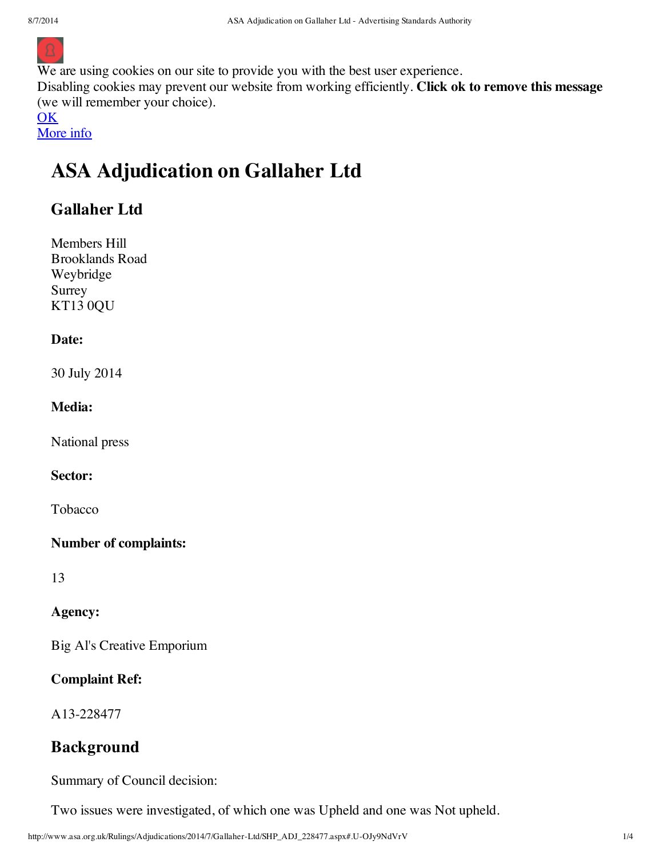

We are using cookies on our site to provide you with the best user experience.

Disabling cookies may prevent our website from working efficiently. **Click ok to remove this message** (we will remember your choice).

**OK** 

# More info

# **ASA Adjudication on Gallaher Ltd**

# **Gallaher Ltd**

Members Hill Brooklands Road Weybridge Surrey KT13 0QU

#### **Date:**

30 July 2014

#### **Media:**

National press

#### **Sector:**

Tobacco

#### **Number of complaints:**

13

#### **Agency:**

Big Al's Creative Emporium

#### **Complaint Ref:**

A13-228477

# **Background**

Summary of Council decision:

Two issues were investigated, of which one was Upheld and one was Not upheld.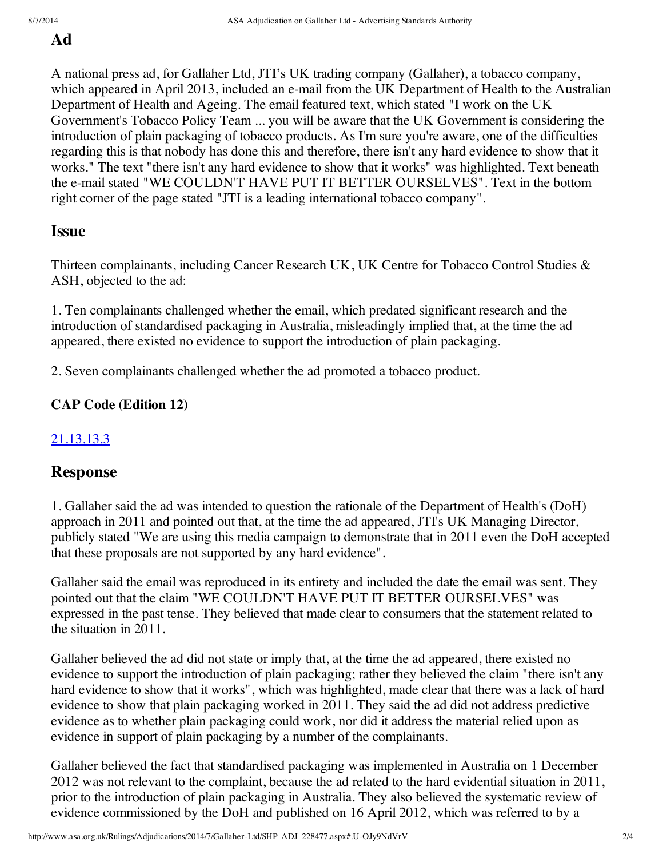# **Ad**

A national press ad, for Gallaher Ltd, JTI's UK trading company (Gallaher), a tobacco company, which appeared in April 2013, included an e-mail from the UK Department of Health to the Australian Department of Health and Ageing. The email featured text, which stated "I work on the UK Government's Tobacco Policy Team ... you will be aware that the UK Government is considering the introduction of plain packaging of tobacco products. As I'm sure you're aware, one of the difficulties regarding this is that nobody has done this and therefore, there isn't any hard evidence to show that it works." The text "there isn't any hard evidence to show that it works" was highlighted. Text beneath the e-mail stated "WE COULDN'T HAVE PUT IT BETTER OURSELVES". Text in the bottom right corner of the page stated "JTI is a leading international tobacco company".

# **Issue**

Thirteen complainants, including Cancer Research UK, UK Centre for Tobacco Control Studies & ASH, objected to the ad:

1. Ten complainants challenged whether the email, which predated significant research and the introduction of standardised packaging in Australia, misleadingly implied that, at the time the ad appeared, there existed no evidence to support the introduction of plain packaging.

2. Seven complainants challenged whether the ad promoted a tobacco product.

### **CAP Code (Edition 12)**

# 21.13.13.3

# **Response**

1. Gallaher said the ad was intended to question the rationale of the Department of Health's (DoH) approach in 2011 and pointed out that, at the time the ad appeared, JTI's UK Managing Director, publicly stated "We are using this media campaign to demonstrate that in 2011 even the DoH accepted that these proposals are not supported by any hard evidence".

Gallaher said the email was reproduced in its entirety and included the date the email was sent. They pointed out that the claim "WE COULDN'T HAVE PUT IT BETTER OURSELVES" was expressed in the past tense. They believed that made clear to consumers that the statement related to the situation in 2011.

Gallaher believed the ad did not state or imply that, at the time the ad appeared, there existed no evidence to support the introduction of plain packaging; rather they believed the claim "there isn't any hard evidence to show that it works", which was highlighted, made clear that there was a lack of hard evidence to show that plain packaging worked in 2011. They said the ad did not address predictive evidence as to whether plain packaging could work, nor did it address the material relied upon as evidence in support of plain packaging by a number of the complainants.

Gallaher believed the fact that standardised packaging was implemented in Australia on 1 December 2012 was not relevant to the complaint, because the ad related to the hard evidential situation in 2011, prior to the introduction of plain packaging in Australia. They also believed the systematic review of evidence commissioned by the DoH and published on 16 April 2012, which was referred to by a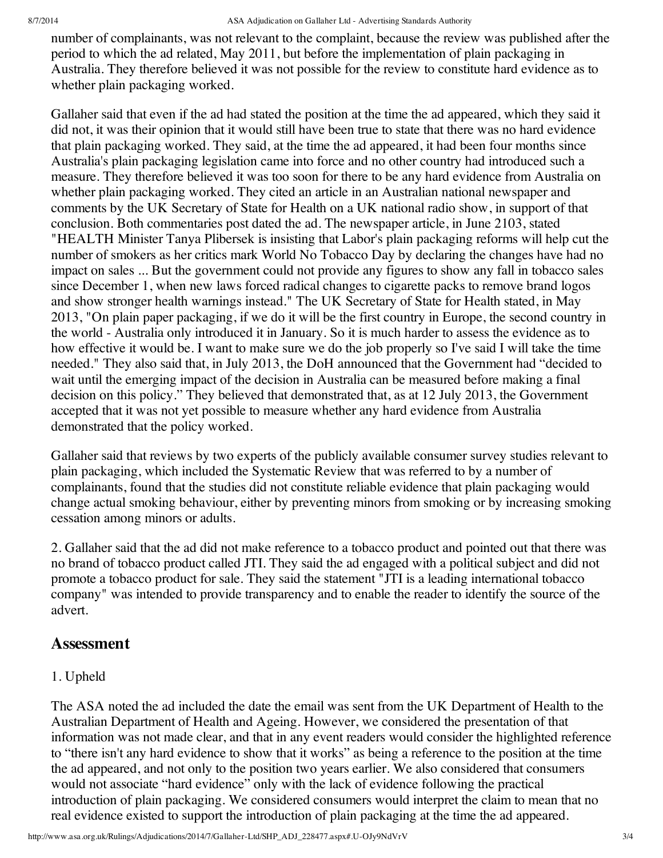number of complainants, was not relevant to the complaint, because the review was published after the period to which the ad related, May 2011, but before the implementation of plain packaging in Australia. They therefore believed it was not possible for the review to constitute hard evidence as to whether plain packaging worked.

Gallaher said that even if the ad had stated the position at the time the ad appeared, which they said it did not, it was their opinion that it would still have been true to state that there was no hard evidence that plain packaging worked. They said, at the time the ad appeared, it had been four months since Australia's plain packaging legislation came into force and no other country had introduced such a measure. They therefore believed it was too soon for there to be any hard evidence from Australia on whether plain packaging worked. They cited an article in an Australian national newspaper and comments by the UK Secretary of State for Health on a UK national radio show, in support of that conclusion. Both commentaries post dated the ad. The newspaper article, in June 2103, stated "HEALTH Minister Tanya Plibersek is insisting that Labor's plain packaging reforms will help cut the number of smokers as her critics mark World No Tobacco Day by declaring the changes have had no impact on sales ... But the government could not provide any figures to show any fall in tobacco sales since December 1, when new laws forced radical changes to cigarette packs to remove brand logos and show stronger health warnings instead." The UK Secretary of State for Health stated, in May 2013, "On plain paper packaging, if we do it will be the first country in Europe, the second country in the world - Australia only introduced it in January. So it is much harder to assess the evidence as to how effective it would be. I want to make sure we do the job properly so I've said I will take the time needed." They also said that, in July 2013, the DoH announced that the Government had "decided to wait until the emerging impact of the decision in Australia can be measured before making a final decision on this policy." They believed that demonstrated that, as at 12 July 2013, the Government accepted that it was not yet possible to measure whether any hard evidence from Australia demonstrated that the policy worked.

Gallaher said that reviews by two experts of the publicly available consumer survey studies relevant to plain packaging, which included the Systematic Review that was referred to by a number of complainants, found that the studies did not constitute reliable evidence that plain packaging would change actual smoking behaviour, either by preventing minors from smoking or by increasing smoking cessation among minors or adults.

2. Gallaher said that the ad did not make reference to a tobacco product and pointed out that there was no brand of tobacco product called JTI. They said the ad engaged with a political subject and did not promote a tobacco product for sale. They said the statement "JTI is a leading international tobacco company" was intended to provide transparency and to enable the reader to identify the source of the advert.

#### **Assessment**

#### 1. Upheld

The ASA noted the ad included the date the email was sent from the UK Department of Health to the Australian Department of Health and Ageing. However, we considered the presentation of that information was not made clear, and that in any event readers would consider the highlighted reference to "there isn't any hard evidence to show that it works" as being a reference to the position at the time the ad appeared, and not only to the position two years earlier. We also considered that consumers would not associate "hard evidence" only with the lack of evidence following the practical introduction of plain packaging. We considered consumers would interpret the claim to mean that no real evidence existed to support the introduction of plain packaging at the time the ad appeared.